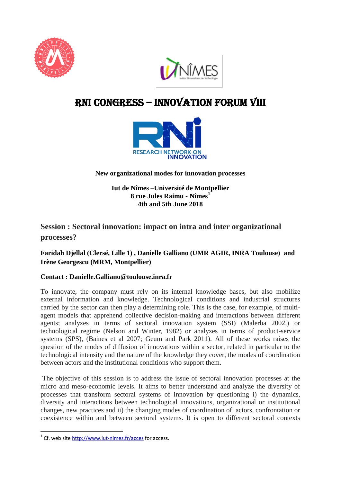



# RNI cONGRESS – innovation Forum VIII



**New organizational modes for innovation processes** 

**Iut de Nîmes –Université de Montpellier 8 rue Jules Raimu - Nîmes<sup>1</sup> 4th and 5th June 2018**

## **Session : Sectoral innovation: impact on intra and inter organizational processes?**

### **Faridah Djellal (Clersé, Lille 1) , Danielle Galliano (UMR AGIR, INRA Toulouse) and Irène Georgescu (MRM, Montpellier)**

#### **Contact : Danielle.Galliano@toulouse.inra.fr**

To innovate, the company must rely on its internal knowledge bases, but also mobilize external information and knowledge. Technological conditions and industrial structures carried by the sector can then play a determining role. This is the case, for example, of multiagent models that apprehend collective decision-making and interactions between different agents; analyzes in terms of sectoral innovation system (SSI) (Malerba 2002,) or technological regime (Nelson and Winter, 1982) or analyzes in terms of product-service systems (SPS), (Baines et al 2007; Geum and Park 2011). All of these works raises the question of the modes of diffusion of innovations within a sector, related in particular to the technological intensity and the nature of the knowledge they cover, the modes of coordination between actors and the institutional conditions who support them.

The objective of this session is to address the issue of sectoral innovation processes at the micro and meso-economic levels. It aims to better understand and analyze the diversity of processes that transform sectoral systems of innovation by questioning i) the dynamics, diversity and interactions between technological innovations, organizational or institutional changes, new practices and ii) the changing modes of coordination of actors, confrontation or coexistence within and between sectoral systems. It is open to different sectoral contexts

 1 Cf. web site<http://www.iut-nimes.fr/acces> for access.